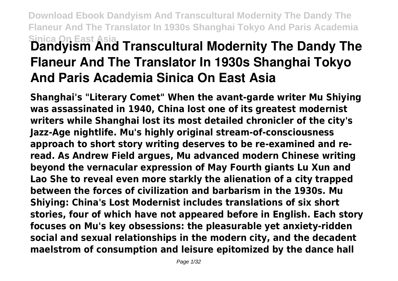# **Download Ebook Dandyism And Transcultural Modernity The Dandy The Flaneur And The Translator In 1930s Shanghai Tokyo And Paris Academia Sinica On East Asia Dandyism And Transcultural Modernity The Dandy The Flaneur And The Translator In 1930s Shanghai Tokyo And Paris Academia Sinica On East Asia**

**Shanghai's "Literary Comet" When the avant-garde writer Mu Shiying was assassinated in 1940, China lost one of its greatest modernist writers while Shanghai lost its most detailed chronicler of the city's Jazz-Age nightlife. Mu's highly original stream-of-consciousness approach to short story writing deserves to be re-examined and reread. As Andrew Field argues, Mu advanced modern Chinese writing beyond the vernacular expression of May Fourth giants Lu Xun and Lao She to reveal even more starkly the alienation of a city trapped between the forces of civilization and barbarism in the 1930s. Mu Shiying: China's Lost Modernist includes translations of six short stories, four of which have not appeared before in English. Each story focuses on Mu's key obsessions: the pleasurable yet anxiety-ridden social and sexual relationships in the modern city, and the decadent maelstrom of consumption and leisure epitomized by the dance hall**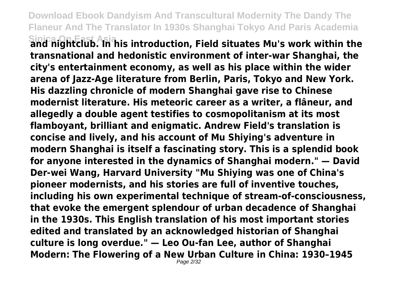**Download Ebook Dandyism And Transcultural Modernity The Dandy The Flaneur And The Translator In 1930s Shanghai Tokyo And Paris Academia Sinica On East Asia and nightclub. In his introduction, Field situates Mu's work within the transnational and hedonistic environment of inter-war Shanghai, the city's entertainment economy, as well as his place within the wider arena of Jazz-Age literature from Berlin, Paris, Tokyo and New York. His dazzling chronicle of modern Shanghai gave rise to Chinese modernist literature. His meteoric career as a writer, a flâneur, and allegedly a double agent testifies to cosmopolitanism at its most flamboyant, brilliant and enigmatic. Andrew Field's translation is concise and lively, and his account of Mu Shiying's adventure in modern Shanghai is itself a fascinating story. This is a splendid book for anyone interested in the dynamics of Shanghai modern." — David Der-wei Wang, Harvard University "Mu Shiying was one of China's pioneer modernists, and his stories are full of inventive touches, including his own experimental technique of stream-of-consciousness, that evoke the emergent splendour of urban decadence of Shanghai in the 1930s. This English translation of his most important stories edited and translated by an acknowledged historian of Shanghai culture is long overdue." — Leo Ou-fan Lee, author of Shanghai Modern: The Flowering of a New Urban Culture in China: 1930–1945** Page 2/32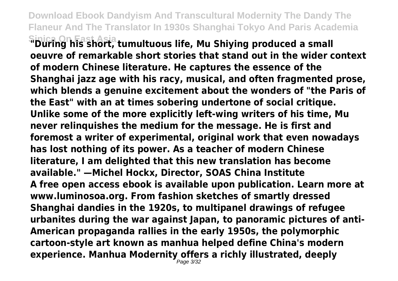**Download Ebook Dandyism And Transcultural Modernity The Dandy The Flaneur And The Translator In 1930s Shanghai Tokyo And Paris Academia Sinica On East Asia "During his short, tumultuous life, Mu Shiying produced a small**

**oeuvre of remarkable short stories that stand out in the wider context of modern Chinese literature. He captures the essence of the Shanghai jazz age with his racy, musical, and often fragmented prose, which blends a genuine excitement about the wonders of "the Paris of the East" with an at times sobering undertone of social critique. Unlike some of the more explicitly left-wing writers of his time, Mu never relinquishes the medium for the message. He is first and foremost a writer of experimental, original work that even nowadays has lost nothing of its power. As a teacher of modern Chinese literature, I am delighted that this new translation has become available." —Michel Hockx, Director, SOAS China Institute A free open access ebook is available upon publication. Learn more at www.luminosoa.org. From fashion sketches of smartly dressed Shanghai dandies in the 1920s, to multipanel drawings of refugee urbanites during the war against Japan, to panoramic pictures of anti-American propaganda rallies in the early 1950s, the polymorphic cartoon-style art known as manhua helped define China's modern experience. Manhua Modernity offers a richly illustrated, deeply** Page 3/32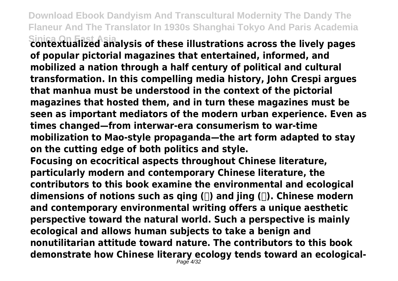**Download Ebook Dandyism And Transcultural Modernity The Dandy The Flaneur And The Translator In 1930s Shanghai Tokyo And Paris Academia Sinica On East Asia contextualized analysis of these illustrations across the lively pages of popular pictorial magazines that entertained, informed, and mobilized a nation through a half century of political and cultural transformation. In this compelling media history, John Crespi argues that manhua must be understood in the context of the pictorial magazines that hosted them, and in turn these magazines must be seen as important mediators of the modern urban experience. Even as times changed—from interwar-era consumerism to war-time mobilization to Mao-style propaganda—the art form adapted to stay on the cutting edge of both politics and style. Focusing on ecocritical aspects throughout Chinese literature, particularly modern and contemporary Chinese literature, the contributors to this book examine the environmental and ecological dimensions of notions such as qing (情) and jing (境). Chinese modern and contemporary environmental writing offers a unique aesthetic perspective toward the natural world. Such a perspective is mainly ecological and allows human subjects to take a benign and nonutilitarian attitude toward nature. The contributors to this book demonstrate how Chinese literary ecology tends toward an ecological-**Page 4/32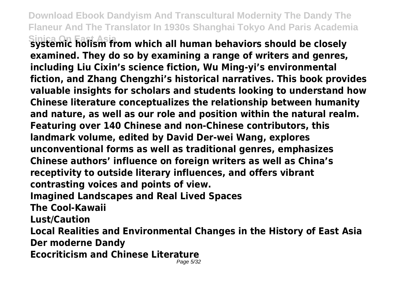**Download Ebook Dandyism And Transcultural Modernity The Dandy The Flaneur And The Translator In 1930s Shanghai Tokyo And Paris Academia Sinica On East Asia systemic holism from which all human behaviors should be closely examined. They do so by examining a range of writers and genres, including Liu Cixin's science fiction, Wu Ming-yi's environmental fiction, and Zhang Chengzhi's historical narratives. This book provides valuable insights for scholars and students looking to understand how Chinese literature conceptualizes the relationship between humanity and nature, as well as our role and position within the natural realm. Featuring over 140 Chinese and non-Chinese contributors, this landmark volume, edited by David Der-wei Wang, explores unconventional forms as well as traditional genres, emphasizes Chinese authors' influence on foreign writers as well as China's receptivity to outside literary influences, and offers vibrant contrasting voices and points of view. Imagined Landscapes and Real Lived Spaces The Cool-Kawaii Lust/Caution Local Realities and Environmental Changes in the History of East Asia Der moderne Dandy Ecocriticism and Chinese Literature** Page 5/32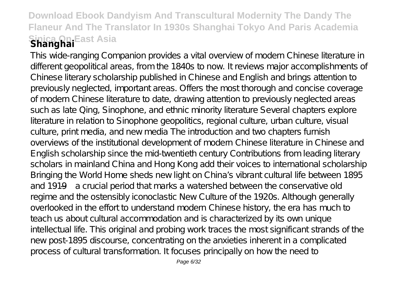# **Download Ebook Dandyism And Transcultural Modernity The Dandy The Flaneur And The Translator In 1930s Shanghai Tokyo And Paris Academia Sinica On East Asia Shanghai**

This wide-ranging Companion provides a vital overview of modern Chinese literature in different geopolitical areas, from the 1840s to now. It reviews major accomplishments of Chinese literary scholarship published in Chinese and English and brings attention to previously neglected, important areas. Offers the most thorough and concise coverage of modern Chinese literature to date, drawing attention to previously neglected areas such as late Qing, Sinophone, and ethnic minority literature Several chapters explore literature in relation to Sinophone geopolitics, regional culture, urban culture, visual culture, print media, and new media The introduction and two chapters furnish overviews of the institutional development of modern Chinese literature in Chinese and English scholarship since the mid-twentieth century Contributions from leading literary scholars in mainland China and Hong Kong add their voices to international scholarship Bringing the World Home sheds new light on China's vibrant cultural life between 1895 and 1919—a crucial period that marks a watershed between the conservative old regime and the ostensibly iconoclastic New Culture of the 1920s. Although generally overlooked in the effort to understand modern Chinese history, the era has much to teach us about cultural accommodation and is characterized by its own unique intellectual life. This original and probing work traces the most significant strands of the new post-1895 discourse, concentrating on the anxieties inherent in a complicated process of cultural transformation. It focuses principally on how the need to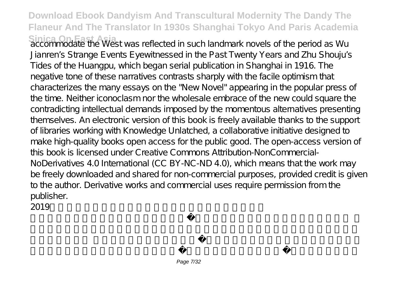**Download Ebook Dandyism And Transcultural Modernity The Dandy The Flaneur And The Translator In 1930s Shanghai Tokyo And Paris Academia** Sinica On East Asia<br>accommodate the West was reflected in such landmark novels of the period as Wu Jianren's Strange Events Eyewitnessed in the Past Twenty Years and Zhu Shouju's Tides of the Huangpu, which began serial publication in Shanghai in 1916. The negative tone of these narratives contrasts sharply with the facile optimism that characterizes the many essays on the "New Novel" appearing in the popular press of the time. Neither iconoclasm nor the wholesale embrace of the new could square the contradicting intellectual demands imposed by the momentous alternatives presenting themselves. An electronic version of this book is freely available thanks to the support of libraries working with Knowledge Unlatched, a collaborative initiative designed to make high-quality books open access for the public good. The open-access version of this book is licensed under Creative Commons Attribution-NonCommercial-NoDerivatives 4.0 International (CC BY-NC-ND 4.0), which means that the work may be freely downloaded and shared for non-commercial purposes, provided credit is given to the author. Derivative works and commercial uses require permission from the publisher.  $2019$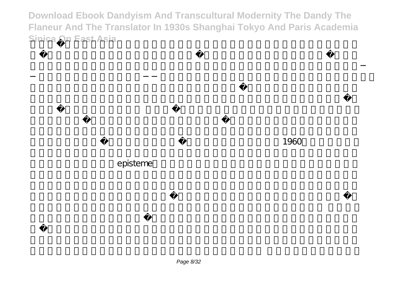**Download Ebook Dandyism And Transcultural Modernity The Dandy The Flaneur And The Translator In 1930s Shanghai Tokyo And Paris Academia Sinica On East Asia** 

 $1960$ 

episteme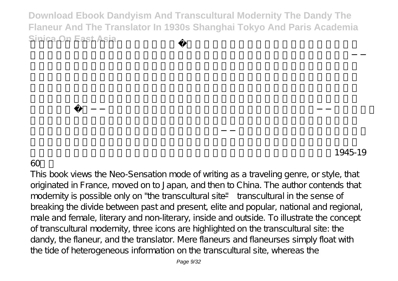**Download Ebook Dandyism And Transcultural Modernity The Dandy The Flaneur And The Translator In 1930s Shanghai Tokyo And Paris Academia Sinica On East Asia** 

 $1945$ -19

#### $60$

This book views the Neo-Sensation mode of writing as a traveling genre, or style, that originated in France, moved on to Japan, and then to China. The author contends that modernity is possible only on "the transcultural site"—transcultural in the sense of breaking the divide between past and present, elite and popular, national and regional, male and female, literary and non-literary, inside and outside. To illustrate the concept of transcultural modernity, three icons are highlighted on the transcultural site: the dandy, the flaneur, and the translator. Mere flaneurs and flaneurses simply float with the tide of heterogeneous information on the transcultural site, whereas the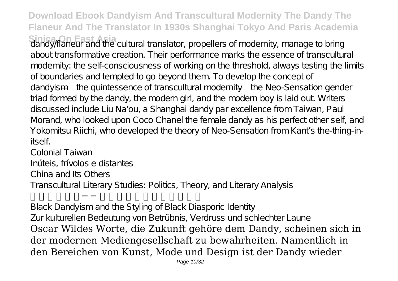**Download Ebook Dandyism And Transcultural Modernity The Dandy The Flaneur And The Translator In 1930s Shanghai Tokyo And Paris Academia** Sinica On East Asia<sup> dang</sup> cultural translator, propellers of modernity, manage to bring about transformative creation. Their performance marks the essence of transcultural modernity: the self-consciousness of working on the threshold, always testing the limits of boundaries and tempted to go beyond them. To develop the concept of dandyism—the quintessence of transcultural modernity—the Neo-Sensation gender triad formed by the dandy, the modern girl, and the modern boy is laid out. Writers discussed include Liu Na'ou, a Shanghai dandy par excellence from Taiwan, Paul Morand, who looked upon Coco Chanel the female dandy as his perfect other self, and Yokomitsu Riichi, who developed the theory of Neo-Sensation from Kant sthe-thing-initself. Colonial Taiwan

Inúteis, frívolos e distantes

China and Its Others

Transcultural Literary Studies: Politics, Theory, and Literary Analysis

Black Dandyism and the Styling of Black Diasporic Identity Zur kulturellen Bedeutung von Betrübnis, Verdruss und schlechter Laune Oscar Wildes Worte, die Zukunft gehöre dem Dandy, scheinen sich in der modernen Mediengesellschaft zu bewahrheiten. Namentlich in den Bereichen von Kunst, Mode und Design ist der Dandy wieder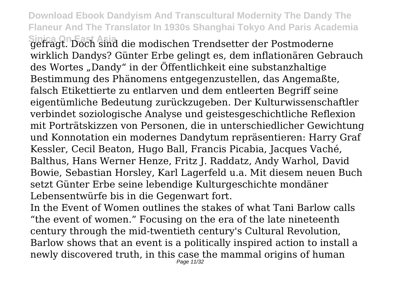**Download Ebook Dandyism And Transcultural Modernity The Dandy The Flaneur And The Translator In 1930s Shanghai Tokyo And Paris Academia Sinica On East Asia** gefragt. Doch sind die modischen Trendsetter der Postmoderne wirklich Dandys? Günter Erbe gelingt es, dem inflationären Gebrauch des Wortes "Dandy" in der Öffentlichkeit eine substanzhaltige Bestimmung des Phänomens entgegenzustellen, das Angemaßte, falsch Etikettierte zu entlarven und dem entleerten Begriff seine eigentümliche Bedeutung zurückzugeben. Der Kulturwissenschaftler verbindet soziologische Analyse und geistesgeschichtliche Reflexion mit Porträtskizzen von Personen, die in unterschiedlicher Gewichtung und Konnotation ein modernes Dandytum repräsentieren: Harry Graf Kessler, Cecil Beaton, Hugo Ball, Francis Picabia, Jacques Vaché, Balthus, Hans Werner Henze, Fritz J. Raddatz, Andy Warhol, David Bowie, Sebastian Horsley, Karl Lagerfeld u.a. Mit diesem neuen Buch setzt Günter Erbe seine lebendige Kulturgeschichte mondäner Lebensentwürfe bis in die Gegenwart fort.

In the Event of Women outlines the stakes of what Tani Barlow calls "the event of women." Focusing on the era of the late nineteenth century through the mid-twentieth century's Cultural Revolution, Barlow shows that an event is a politically inspired action to install a newly discovered truth, in this case the mammal origins of human Page 11/32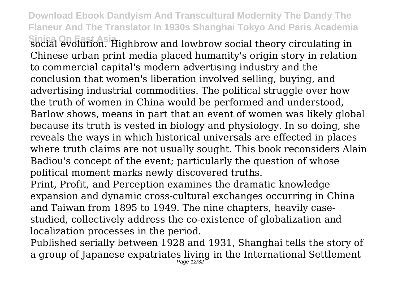**Download Ebook Dandyism And Transcultural Modernity The Dandy The Flaneur And The Translator In 1930s Shanghai Tokyo And Paris Academia** Sinica On East Asia<br>Social evolution. Highbrow and lowbrow social theory circulating in Chinese urban print media placed humanity's origin story in relation to commercial capital's modern advertising industry and the conclusion that women's liberation involved selling, buying, and advertising industrial commodities. The political struggle over how the truth of women in China would be performed and understood, Barlow shows, means in part that an event of women was likely global because its truth is vested in biology and physiology. In so doing, she reveals the ways in which historical universals are effected in places where truth claims are not usually sought. This book reconsiders Alain Badiou's concept of the event; particularly the question of whose political moment marks newly discovered truths.

Print, Profit, and Perception examines the dramatic knowledge expansion and dynamic cross-cultural exchanges occurring in China and Taiwan from 1895 to 1949. The nine chapters, heavily casestudied, collectively address the co-existence of globalization and localization processes in the period.

Published serially between 1928 and 1931, Shanghai tells the story of a group of Japanese expatriates living in the International Settlement Page 12/32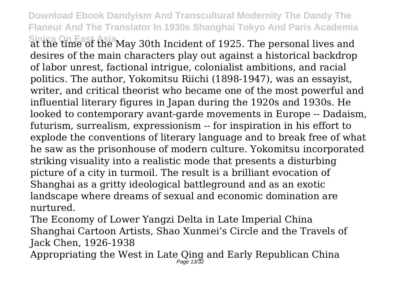**Download Ebook Dandyism And Transcultural Modernity The Dandy The Flaneur And The Translator In 1930s Shanghai Tokyo And Paris Academia** Sinica On East Asia<br>at the time of the May 30th Incident of 1925. The personal lives and desires of the main characters play out against a historical backdrop of labor unrest, factional intrigue, colonialist ambitions, and racial politics. The author, Yokomitsu Riichi (1898-1947), was an essayist, writer, and critical theorist who became one of the most powerful and influential literary figures in Japan during the 1920s and 1930s. He looked to contemporary avant-garde movements in Europe -- Dadaism, futurism, surrealism, expressionism -- for inspiration in his effort to explode the conventions of literary language and to break free of what he saw as the prisonhouse of modern culture. Yokomitsu incorporated striking visuality into a realistic mode that presents a disturbing picture of a city in turmoil. The result is a brilliant evocation of Shanghai as a gritty ideological battleground and as an exotic landscape where dreams of sexual and economic domination are nurtured.

The Economy of Lower Yangzi Delta in Late Imperial China Shanghai Cartoon Artists, Shao Xunmei's Circle and the Travels of Jack Chen, 1926-1938

Appropriating the West in Late Qing and Early Republican China<br>Page 13/32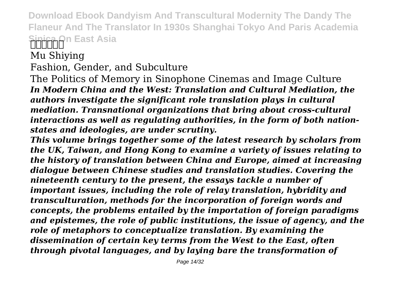**Download Ebook Dandyism And Transcultural Modernity The Dandy The Flaneur And The Translator In 1930s Shanghai Tokyo And Paris Academia Sinica O**n East Asia

Mu Shiying

Fashion, Gender, and Subculture

The Politics of Memory in Sinophone Cinemas and Image Culture *In Modern China and the West: Translation and Cultural Mediation, the authors investigate the significant role translation plays in cultural mediation. Transnational organizations that bring about cross-cultural interactions as well as regulating authorities, in the form of both nationstates and ideologies, are under scrutiny.*

*This volume brings together some of the latest research by scholars from the UK, Taiwan, and Hong Kong to examine a variety of issues relating to the history of translation between China and Europe, aimed at increasing dialogue between Chinese studies and translation studies. Covering the nineteenth century to the present, the essays tackle a number of important issues, including the role of relay translation, hybridity and transculturation, methods for the incorporation of foreign words and concepts, the problems entailed by the importation of foreign paradigms and epistemes, the role of public institutions, the issue of agency, and the role of metaphors to conceptualize translation. By examining the dissemination of certain key terms from the West to the East, often through pivotal languages, and by laying bare the transformation of*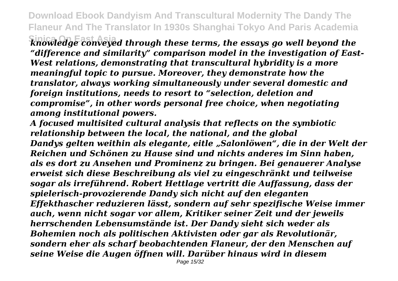**Download Ebook Dandyism And Transcultural Modernity The Dandy The Flaneur And The Translator In 1930s Shanghai Tokyo And Paris Academia**

**Sinica On East Asia** *knowledge conveyed through these terms, the essays go well beyond the "difference and similarity" comparison model in the investigation of East-West relations, demonstrating that transcultural hybridity is a more meaningful topic to pursue. Moreover, they demonstrate how the translator, always working simultaneously under several domestic and foreign institutions, needs to resort to "selection, deletion and compromise", in other words personal free choice, when negotiating among institutional powers.*

*A focused multisited cultural analysis that reflects on the symbiotic relationship between the local, the national, and the global Dandys gelten weithin als elegante, eitle "Salonlöwen", die in der Welt der Reichen und Schönen zu Hause sind und nichts anderes im Sinn haben, als es dort zu Ansehen und Prominenz zu bringen. Bei genauerer Analyse erweist sich diese Beschreibung als viel zu eingeschränkt und teilweise sogar als irreführend. Robert Hettlage vertritt die Auffassung, dass der spielerisch-provozierende Dandy sich nicht auf den eleganten Effekthascher reduzieren lässt, sondern auf sehr spezifische Weise immer auch, wenn nicht sogar vor allem, Kritiker seiner Zeit und der jeweils herrschenden Lebensumstände ist. Der Dandy sieht sich weder als Bohemien noch als politischen Aktivisten oder gar als Revolutionär, sondern eher als scharf beobachtenden Flaneur, der den Menschen auf seine Weise die Augen öffnen will. Darüber hinaus wird in diesem*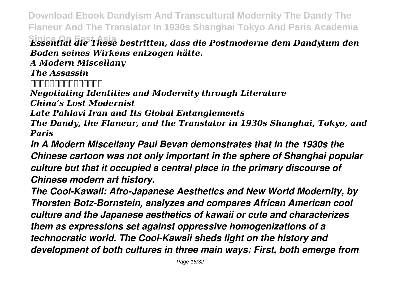**Download Ebook Dandyism And Transcultural Modernity The Dandy The Flaneur And The Translator In 1930s Shanghai Tokyo And Paris Academia**

## **Sinica On East Asia** *Essential die These bestritten, dass die Postmoderne dem Dandytum den Boden seines Wirkens entzogen hätte.*

*A Modern Miscellany*

*The Assassin*

#### *唯情與理性的辯證:五四的反啟蒙*

*Negotiating Identities and Modernity through Literature*

*China's Lost Modernist*

*Late Pahlavi Iran and Its Global Entanglements*

*The Dandy, the Flaneur, and the Translator in 1930s Shanghai, Tokyo, and Paris*

*In A Modern Miscellany Paul Bevan demonstrates that in the 1930s the Chinese cartoon was not only important in the sphere of Shanghai popular culture but that it occupied a central place in the primary discourse of Chinese modern art history.*

*The Cool-Kawaii: Afro-Japanese Aesthetics and New World Modernity, by Thorsten Botz-Bornstein, analyzes and compares African American cool culture and the Japanese aesthetics of kawaii or cute and characterizes them as expressions set against oppressive homogenizations of a technocratic world. The Cool-Kawaii sheds light on the history and development of both cultures in three main ways: First, both emerge from*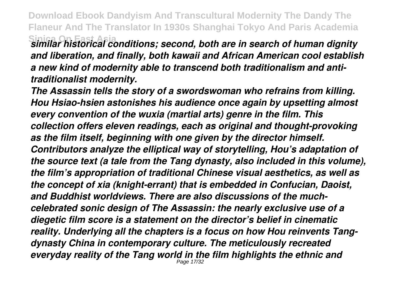**Download Ebook Dandyism And Transcultural Modernity The Dandy The Flaneur And The Translator In 1930s Shanghai Tokyo And Paris Academia Sinica On East Asia** *similar historical conditions; second, both are in search of human dignity and liberation, and finally, both kawaii and African American cool establish a new kind of modernity able to transcend both traditionalism and antitraditionalist modernity.*

*The Assassin tells the story of a swordswoman who refrains from killing. Hou Hsiao-hsien astonishes his audience once again by upsetting almost every convention of the wuxia (martial arts) genre in the film. This collection offers eleven readings, each as original and thought-provoking as the film itself, beginning with one given by the director himself. Contributors analyze the elliptical way of storytelling, Hou's adaptation of the source text (a tale from the Tang dynasty, also included in this volume), the film's appropriation of traditional Chinese visual aesthetics, as well as the concept of xia (knight-errant) that is embedded in Confucian, Daoist, and Buddhist worldviews. There are also discussions of the muchcelebrated sonic design of The Assassin: the nearly exclusive use of a diegetic film score is a statement on the director's belief in cinematic reality. Underlying all the chapters is a focus on how Hou reinvents Tangdynasty China in contemporary culture. The meticulously recreated everyday reality of the Tang world in the film highlights the ethnic and* Page 17/32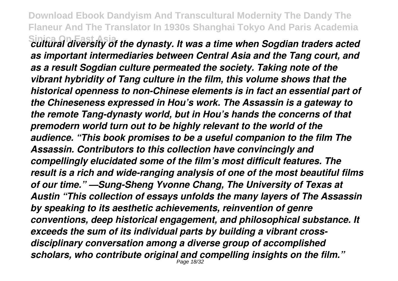**Download Ebook Dandyism And Transcultural Modernity The Dandy The Flaneur And The Translator In 1930s Shanghai Tokyo And Paris Academia Sinica On East Asia** *cultural diversity of the dynasty. It was a time when Sogdian traders acted as important intermediaries between Central Asia and the Tang court, and as a result Sogdian culture permeated the society. Taking note of the vibrant hybridity of Tang culture in the film, this volume shows that the historical openness to non-Chinese elements is in fact an essential part of the Chineseness expressed in Hou's work. The Assassin is a gateway to the remote Tang-dynasty world, but in Hou's hands the concerns of that premodern world turn out to be highly relevant to the world of the audience. "This book promises to be a useful companion to the film The Assassin. Contributors to this collection have convincingly and compellingly elucidated some of the film's most difficult features. The result is a rich and wide-ranging analysis of one of the most beautiful films of our time." —Sung-Sheng Yvonne Chang, The University of Texas at Austin "This collection of essays unfolds the many layers of The Assassin by speaking to its aesthetic achievements, reinvention of genre conventions, deep historical engagement, and philosophical substance. It exceeds the sum of its individual parts by building a vibrant crossdisciplinary conversation among a diverse group of accomplished* scholars, who contribute original and compelling insights on the film."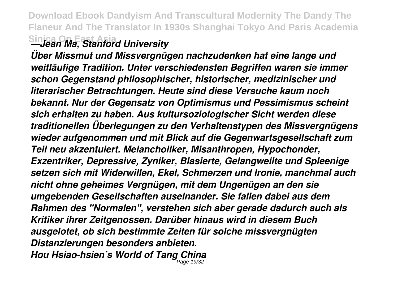**Download Ebook Dandyism And Transcultural Modernity The Dandy The Flaneur And The Translator In 1930s Shanghai Tokyo And Paris Academia Sinica On East Asia** *—Jean Ma, Stanford University*

*Über Missmut und Missvergnügen nachzudenken hat eine lange und weitläufige Tradition. Unter verschiedensten Begriffen waren sie immer schon Gegenstand philosophischer, historischer, medizinischer und literarischer Betrachtungen. Heute sind diese Versuche kaum noch bekannt. Nur der Gegensatz von Optimismus und Pessimismus scheint sich erhalten zu haben. Aus kultursoziologischer Sicht werden diese traditionellen Überlegungen zu den Verhaltenstypen des Missvergnügens wieder aufgenommen und mit Blick auf die Gegenwartsgesellschaft zum Teil neu akzentuiert. Melancholiker, Misanthropen, Hypochonder, Exzentriker, Depressive, Zyniker, Blasierte, Gelangweilte und Spleenige setzen sich mit Widerwillen, Ekel, Schmerzen und Ironie, manchmal auch nicht ohne geheimes Vergnügen, mit dem Ungenügen an den sie umgebenden Gesellschaften auseinander. Sie fallen dabei aus dem Rahmen des "Normalen", verstehen sich aber gerade dadurch auch als Kritiker ihrer Zeitgenossen. Darüber hinaus wird in diesem Buch ausgelotet, ob sich bestimmte Zeiten für solche missvergnügten Distanzierungen besonders anbieten. Hou Hsiao-hsien's World of Tang China* Page 19/32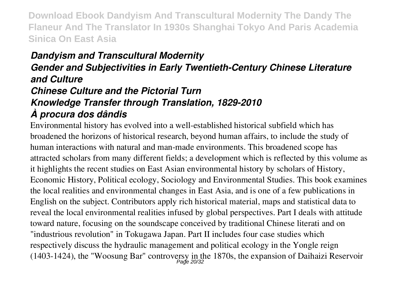**Download Ebook Dandyism And Transcultural Modernity The Dandy The Flaneur And The Translator In 1930s Shanghai Tokyo And Paris Academia Sinica On East Asia**

### *Dandyism and Transcultural Modernity Gender and Subjectivities in Early Twentieth-Century Chinese Literature and Culture Chinese Culture and the Pictorial Turn Knowledge Transfer through Translation, 1829-2010 À procura dos dândis*

Environmental history has evolved into a well-established historical subfield which has broadened the horizons of historical research, beyond human affairs, to include the study of human interactions with natural and man-made environments. This broadened scope has attracted scholars from many different fields; a development which is reflected by this volume as it highlights the recent studies on East Asian environmental history by scholars of History, Economic History, Political ecology, Sociology and Environmental Studies. This book examines the local realities and environmental changes in East Asia, and is one of a few publications in English on the subject. Contributors apply rich historical material, maps and statistical data to reveal the local environmental realities infused by global perspectives. Part I deals with attitude toward nature, focusing on the soundscape conceived by traditional Chinese literati and on "industrious revolution" in Tokugawa Japan. Part II includes four case studies which respectively discuss the hydraulic management and political ecology in the Yongle reign (1403-1424), the "Woosung Bar" controversy in the 1870s, the expansion of Daihaizi Reservoir<br>  $P_{\text{age 20/32}}$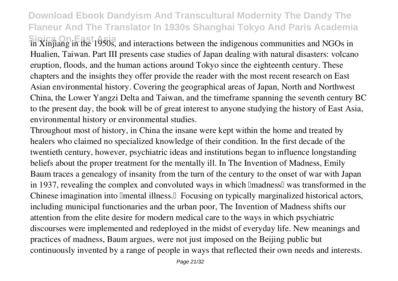**Download Ebook Dandyism And Transcultural Modernity The Dandy The Flaneur And The Translator In 1930s Shanghai Tokyo And Paris Academia Sinxing** in the 1950s, and interactions between the indigenous communities and NGOs in

Hualien, Taiwan. Part III presents case studies of Japan dealing with natural disasters: volcano eruption, floods, and the human actions around Tokyo since the eighteenth century. These chapters and the insights they offer provide the reader with the most recent research on East Asian environmental history. Covering the geographical areas of Japan, North and Northwest China, the Lower Yangzi Delta and Taiwan, and the timeframe spanning the seventh century BC to the present day, the book will be of great interest to anyone studying the history of East Asia, environmental history or environmental studies.

Throughout most of history, in China the insane were kept within the home and treated by healers who claimed no specialized knowledge of their condition. In the first decade of the twentieth century, however, psychiatric ideas and institutions began to influence longstanding beliefs about the proper treatment for the mentally ill. In The Invention of Madness, Emily Baum traces a genealogy of insanity from the turn of the century to the onset of war with Japan in 1937, revealing the complex and convoluted ways in which Imadness was transformed in the Chinese imagination into Imental illness. To Focusing on typically marginalized historical actors, including municipal functionaries and the urban poor, The Invention of Madness shifts our attention from the elite desire for modern medical care to the ways in which psychiatric discourses were implemented and redeployed in the midst of everyday life. New meanings and practices of madness, Baum argues, were not just imposed on the Beijing public but continuously invented by a range of people in ways that reflected their own needs and interests.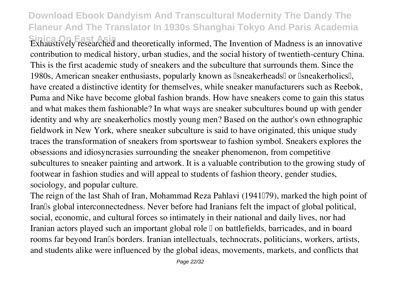**Download Ebook Dandyism And Transcultural Modernity The Dandy The Flaneur And The Translator In 1930s Shanghai Tokyo And Paris Academia Sinica On East Asia** Exhaustively researched and theoretically informed, The Invention of Madness is an innovative contribution to medical history, urban studies, and the social history of twentieth-century China. This is the first academic study of sneakers and the subculture that surrounds them. Since the 1980s, American sneaker enthusiasts, popularly known as IsneakerheadsI or IsneakerholicsI, have created a distinctive identity for themselves, while sneaker manufacturers such as Reebok, Puma and Nike have become global fashion brands. How have sneakers come to gain this status and what makes them fashionable? In what ways are sneaker subcultures bound up with gender identity and why are sneakerholics mostly young men? Based on the author's own ethnographic fieldwork in New York, where sneaker subculture is said to have originated, this unique study traces the transformation of sneakers from sportswear to fashion symbol. Sneakers explores the obsessions and idiosyncrasies surrounding the sneaker phenomenon, from competitive subcultures to sneaker painting and artwork. It is a valuable contribution to the growing study of footwear in fashion studies and will appeal to students of fashion theory, gender studies, sociology, and popular culture.

The reign of the last Shah of Iran, Mohammad Reza Pahlavi (1941079), marked the high point of Iran<sup>[]</sup>s global interconnectedness. Never before had Iranians felt the impact of global political, social, economic, and cultural forces so intimately in their national and daily lives, nor had Iranian actors played such an important global role  $\Box$  on battlefields, barricades, and in board rooms far beyond Iranlls borders. Iranian intellectuals, technocrats, politicians, workers, artists, and students alike were influenced by the global ideas, movements, markets, and conflicts that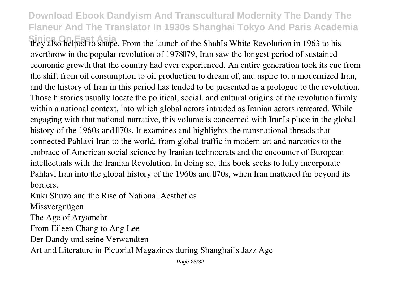**Download Ebook Dandyism And Transcultural Modernity The Dandy The Flaneur And The Translator In 1930s Shanghai Tokyo And Paris Academia Since On East Asia to shape.** From the launch of the Shahlls White Revolution in 1963 to his overthrow in the popular revolution of 1978<sup>[79]</sup>, Iran saw the longest period of sustained economic growth that the country had ever experienced. An entire generation took its cue from the shift from oil consumption to oil production to dream of, and aspire to, a modernized Iran, and the history of Iran in this period has tended to be presented as a prologue to the revolution. Those histories usually locate the political, social, and cultural origins of the revolution firmly within a national context, into which global actors intruded as Iranian actors retreated. While engaging with that national narrative, this volume is concerned with Iranlls place in the global history of the 1960s and  $\alpha$   $\alpha$ . It examines and highlights the transnational threads that connected Pahlavi Iran to the world, from global traffic in modern art and narcotics to the embrace of American social science by Iranian technocrats and the encounter of European intellectuals with the Iranian Revolution. In doing so, this book seeks to fully incorporate Pahlavi Iran into the global history of the 1960s and  $\alpha$  170s, when Iran mattered far beyond its borders.

Kuki Shuzo and the Rise of National Aesthetics

Missvergnügen

The Age of Aryamehr

From Eileen Chang to Ang Lee

Der Dandy und seine Verwandten

Art and Literature in Pictorial Magazines during Shanghaills Jazz Age

Page 23/32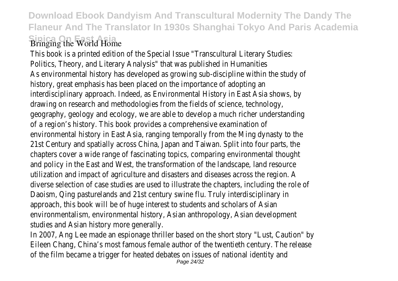## **Download Ebook Dandyism And Transcultural Modernity The Dandy The Flaneur And The Translator In 1930s Shanghai Tokyo And Paris Academia Sinica On East Asia** Bringing the World Home

This book is a printed edition of the Special Issue "Transcultural Literary Studies: Politics, Theory, and Literary Analysis" that was published in Humanities As environmental history has developed as growing sub-discipline within the study of history, great emphasis has been placed on the importance of adopting an interdisciplinary approach. Indeed, as Environmental History in East Asia shows, by drawing on research and methodologies from the fields of science, technology, geography, geology and ecology, we are able to develop a much richer understanding of a region's history. This book provides a comprehensive examination of environmental history in East Asia, ranging temporally from the Ming dynasty to the 21st Century and spatially across China, Japan and Taiwan. Split into four parts, the chapters cover a wide range of fascinating topics, comparing environmental thought and policy in the East and West, the transformation of the landscape, land resource utilization and impact of agriculture and disasters and diseases across the region. A diverse selection of case studies are used to illustrate the chapters, including the role of Daoism, Qing pasturelands and 21st century swine flu. Truly interdisciplinary in approach, this book will be of huge interest to students and scholars of Asian environmentalism, environmental history, Asian anthropology, Asian development studies and Asian history more generally.

In 2007, Ang Lee made an espionage thriller based on the short story "Lust, Caution" by Eileen Chang, China's most famous female author of the twentieth century. The release of the film became a trigger for heated debates on issues of national identity and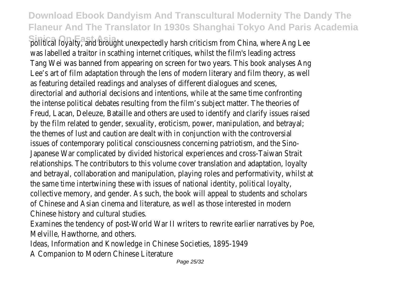**Download Ebook Dandyism And Transcultural Modernity The Dandy The Flaneur And The Translator In 1930s Shanghai Tokyo And Paris Academia**

Sinical **Oyalty, and brought unexpectedly harsh criticism from China, where Ang Lee** was labelled a traitor in scathing internet critiques, whilst the film's leading actress Tang Wei was banned from appearing on screen for two years. This book analyses Ang Lee's art of film adaptation through the lens of modern literary and film theory, as well as featuring detailed readings and analyses of different dialogues and scenes, directorial and authorial decisions and intentions, while at the same time confronting the intense political debates resulting from the film's subject matter. The theories of Freud, Lacan, Deleuze, Bataille and others are used to identify and clarify issues raised by the film related to gender, sexuality, eroticism, power, manipulation, and betrayal; the themes of lust and caution are dealt with in conjunction with the controversial issues of contemporary political consciousness concerning patriotism, and the Sino-Japanese War complicated by divided historical experiences and cross-Taiwan Strait relationships. The contributors to this volume cover translation and adaptation, loyalty and betrayal, collaboration and manipulation, playing roles and performativity, whilst at the same time intertwining these with issues of national identity, political loyalty, collective memory, and gender. As such, the book will appeal to students and scholars of Chinese and Asian cinema and literature, as well as those interested in modern Chinese history and cultural studies.

Examines the tendency of post-World War II writers to rewrite earlier narratives by Poe, Melville, Hawthorne, and others.

Ideas, Information and Knowledge in Chinese Societies, 1895-1949

A Companion to Modern Chinese Literature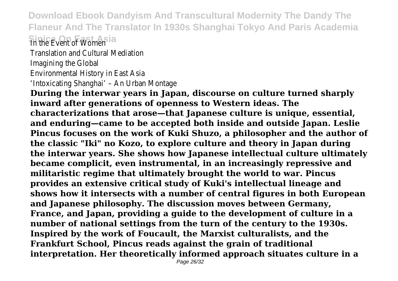**Download Ebook Dandyism And Transcultural Modernity The Dandy The Flaneur And The Translator In 1930s Shanghai Tokyo And Paris Academia Sinica** Event of Women

Translation and Cultural Mediation Imagining the Global Environmental History in East Asia

'Intoxicating Shanghai' – An Urban Montage

**During the interwar years in Japan, discourse on culture turned sharply inward after generations of openness to Western ideas. The characterizations that arose—that Japanese culture is unique, essential, and enduring—came to be accepted both inside and outside Japan. Leslie Pincus focuses on the work of Kuki Shuzo, a philosopher and the author of the classic "Iki" no Kozo, to explore culture and theory in Japan during the interwar years. She shows how Japanese intellectual culture ultimately became complicit, even instrumental, in an increasingly repressive and militaristic regime that ultimately brought the world to war. Pincus provides an extensive critical study of Kuki's intellectual lineage and shows how it intersects with a number of central figures in both European and Japanese philosophy. The discussion moves between Germany, France, and Japan, providing a guide to the development of culture in a number of national settings from the turn of the century to the 1930s. Inspired by the work of Foucault, the Marxist culturalists, and the Frankfurt School, Pincus reads against the grain of traditional interpretation. Her theoretically informed approach situates culture in a**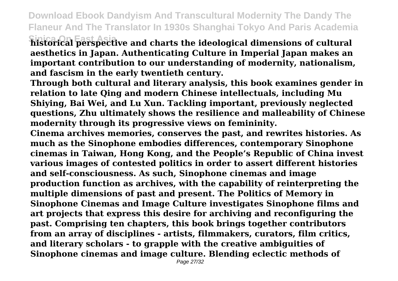**Download Ebook Dandyism And Transcultural Modernity The Dandy The Flaneur And The Translator In 1930s Shanghai Tokyo And Paris Academia**

**Sinica On East Asia historical perspective and charts the ideological dimensions of cultural aesthetics in Japan. Authenticating Culture in Imperial Japan makes an important contribution to our understanding of modernity, nationalism, and fascism in the early twentieth century.**

**Through both cultural and literary analysis, this book examines gender in relation to late Qing and modern Chinese intellectuals, including Mu Shiying, Bai Wei, and Lu Xun. Tackling important, previously neglected questions, Zhu ultimately shows the resilience and malleability of Chinese modernity through its progressive views on femininity.**

**Cinema archives memories, conserves the past, and rewrites histories. As much as the Sinophone embodies differences, contemporary Sinophone cinemas in Taiwan, Hong Kong, and the People's Republic of China invest various images of contested politics in order to assert different histories and self-consciousness. As such, Sinophone cinemas and image production function as archives, with the capability of reinterpreting the multiple dimensions of past and present. The Politics of Memory in Sinophone Cinemas and Image Culture investigates Sinophone films and art projects that express this desire for archiving and reconfiguring the past. Comprising ten chapters, this book brings together contributors from an array of disciplines - artists, filmmakers, curators, film critics, and literary scholars - to grapple with the creative ambiguities of Sinophone cinemas and image culture. Blending eclectic methods of**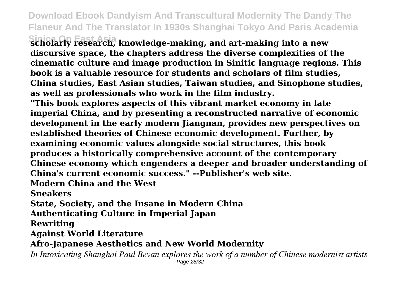**Download Ebook Dandyism And Transcultural Modernity The Dandy The Flaneur And The Translator In 1930s Shanghai Tokyo And Paris Academia**

**Sinica On East Asia scholarly research, knowledge-making, and art-making into a new discursive space, the chapters address the diverse complexities of the cinematic culture and image production in Sinitic language regions. This book is a valuable resource for students and scholars of film studies, China studies, East Asian studies, Taiwan studies, and Sinophone studies, as well as professionals who work in the film industry.**

**"This book explores aspects of this vibrant market economy in late imperial China, and by presenting a reconstructed narrative of economic development in the early modern Jiangnan, provides new perspectives on established theories of Chinese economic development. Further, by examining economic values alongside social structures, this book produces a historically comprehensive account of the contemporary Chinese economy which engenders a deeper and broader understanding of China's current economic success." --Publisher's web site.**

**Modern China and the West**

**Sneakers**

**State, Society, and the Insane in Modern China**

**Authenticating Culture in Imperial Japan**

**Rewriting**

**Against World Literature**

**Afro-Japanese Aesthetics and New World Modernity**

*In Intoxicating Shanghai Paul Bevan explores the work of a number of Chinese modernist artists* Page 28/32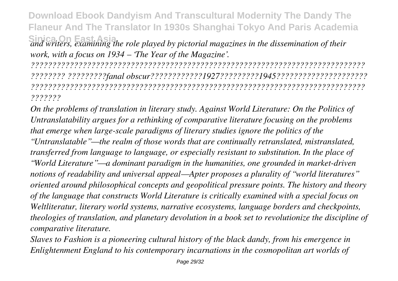**Download Ebook Dandyism And Transcultural Modernity The Dandy The Flaneur And The Translator In 1930s Shanghai Tokyo And Paris Academia** Sind writers, examining the role played by pictorial magazines in the dissemination of their *work, with a focus on 1934 – 'The Year of the Magazine'. ?????????????????????????????????????????????????????????????????????????????*

*???????? ?????????fanal obscur????????????1927?????????1945????????????????????? ????????????????????????????????????????????????????????????????????????????? ???????*

*On the problems of translation in literary study. Against World Literature: On the Politics of Untranslatability argues for a rethinking of comparative literature focusing on the problems that emerge when large-scale paradigms of literary studies ignore the politics of the "Untranslatable"—the realm of those words that are continually retranslated, mistranslated, transferred from language to language, or especially resistant to substitution. In the place of "World Literature"—a dominant paradigm in the humanities, one grounded in market-driven notions of readability and universal appeal—Apter proposes a plurality of "world literatures" oriented around philosophical concepts and geopolitical pressure points. The history and theory of the language that constructs World Literature is critically examined with a special focus on Weltliteratur, literary world systems, narrative ecosystems, language borders and checkpoints, theologies of translation, and planetary devolution in a book set to revolutionize the discipline of comparative literature.*

*Slaves to Fashion is a pioneering cultural history of the black dandy, from his emergence in Enlightenment England to his contemporary incarnations in the cosmopolitan art worlds of*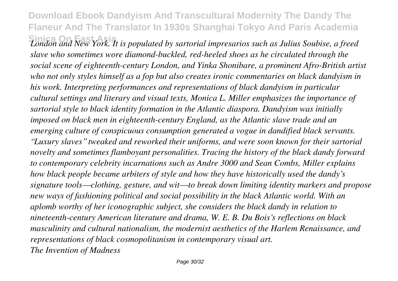**Download Ebook Dandyism And Transcultural Modernity The Dandy The Flaneur And The Translator In 1930s Shanghai Tokyo And Paris Academia Sinica On East Asia** *London and New York. It is populated by sartorial impresarios such as Julius Soubise, a freed slave who sometimes wore diamond-buckled, red-heeled shoes as he circulated through the social scene of eighteenth-century London, and Yinka Shonibare, a prominent Afro-British artist who not only styles himself as a fop but also creates ironic commentaries on black dandyism in his work. Interpreting performances and representations of black dandyism in particular cultural settings and literary and visual texts, Monica L. Miller emphasizes the importance of sartorial style to black identity formation in the Atlantic diaspora. Dandyism was initially imposed on black men in eighteenth-century England, as the Atlantic slave trade and an emerging culture of conspicuous consumption generated a vogue in dandified black servants. "Luxury slaves" tweaked and reworked their uniforms, and were soon known for their sartorial novelty and sometimes flamboyant personalities. Tracing the history of the black dandy forward to contemporary celebrity incarnations such as Andre 3000 and Sean Combs, Miller explains how black people became arbiters of style and how they have historically used the dandy's signature tools—clothing, gesture, and wit—to break down limiting identity markers and propose new ways of fashioning political and social possibility in the black Atlantic world. With an aplomb worthy of her iconographic subject, she considers the black dandy in relation to nineteenth-century American literature and drama, W. E. B. Du Bois's reflections on black masculinity and cultural nationalism, the modernist aesthetics of the Harlem Renaissance, and representations of black cosmopolitanism in contemporary visual art. The Invention of Madness*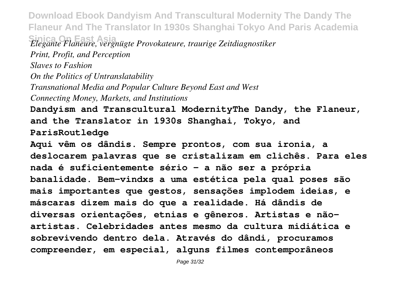**Download Ebook Dandyism And Transcultural Modernity The Dandy The Flaneur And The Translator In 1930s Shanghai Tokyo And Paris Academia Sinica On East Asia** *Elegante Flaneure, vergnügte Provokateure, traurige Zeitdiagnostiker Print, Profit, and Perception Slaves to Fashion On the Politics of Untranslatability Transnational Media and Popular Culture Beyond East and West Connecting Money, Markets, and Institutions* **Dandyism and Transcultural ModernityThe Dandy, the Flaneur, and the Translator in 1930s Shanghai, Tokyo, and ParisRoutledge Aqui vêm os dândis. Sempre prontos, com sua ironia, a deslocarem palavras que se cristalizam em clichês. Para eles nada é suficientemente sério – a não ser a própria banalidade. Bem-vindxs a uma estética pela qual poses são mais importantes que gestos, sensações implodem ideias, e máscaras dizem mais do que a realidade. Há dândis de diversas orientações, etnias e gêneros. Artistas e nãoartistas. Celebridades antes mesmo da cultura midiática e sobrevivendo dentro dela. Através do dândi, procuramos compreender, em especial, alguns filmes contemporâneos**